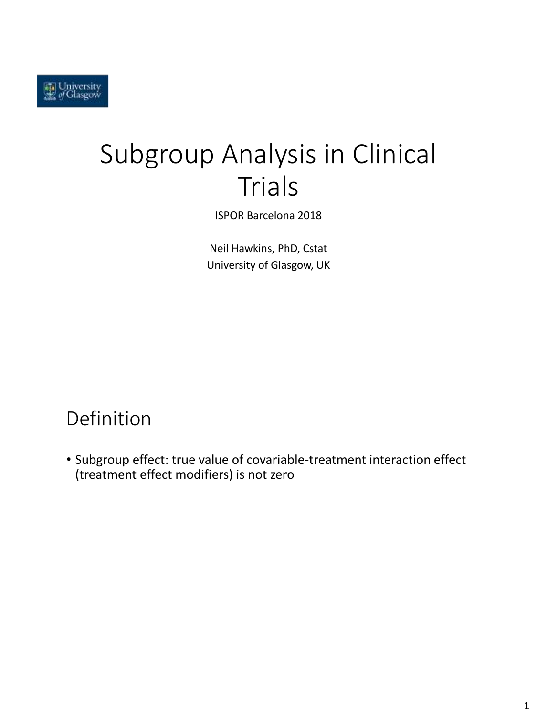# Subgroup Analysis in Clinical Trials

ISPOR Barcelona 2018

Neil Hawkins, PhD, Cstat University of Glasgow, UK

### Definition

• Subgroup effect: true value of covariable-treatment interaction effect (treatment effect modifiers) is not zero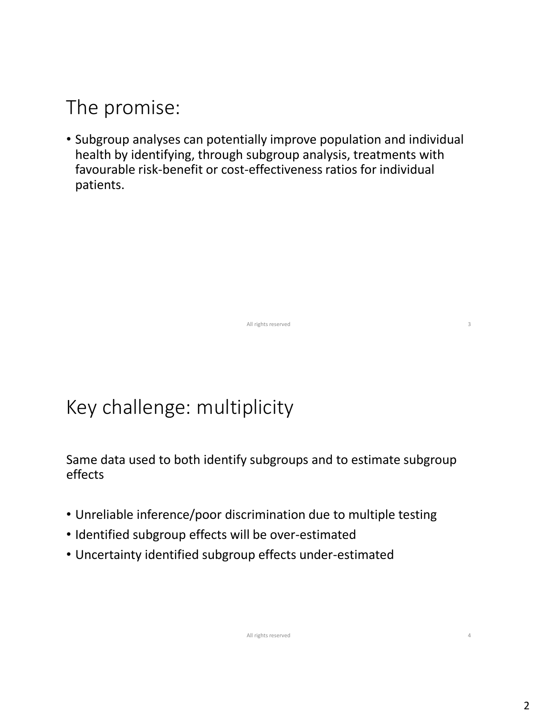### The promise:

• Subgroup analyses can potentially improve population and individual health by identifying, through subgroup analysis, treatments with favourable risk-benefit or cost-effectiveness ratios for individual patients.

All rights reserved 3

## Key challenge: multiplicity

Same data used to both identify subgroups and to estimate subgroup effects

- Unreliable inference/poor discrimination due to multiple testing
- Identified subgroup effects will be over-estimated
- Uncertainty identified subgroup effects under-estimated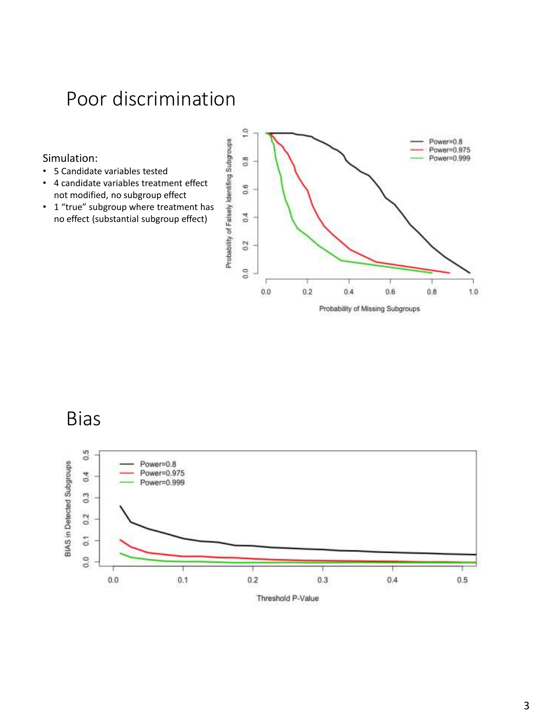### Poor discrimination

#### Simulation:

- 5 Candidate variables tested
- 4 candidate variables treatment effect not modified, no subgroup effect
- 1 "true" subgroup where treatment has no effect (substantial subgroup effect)



Bias



Threshold P-Value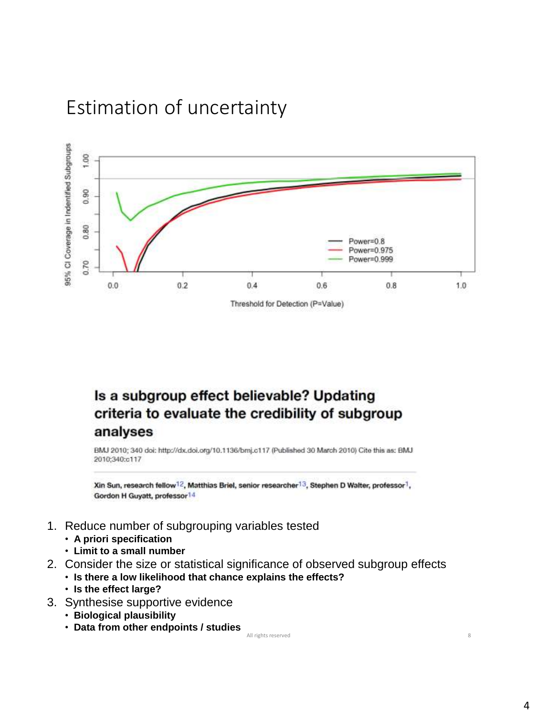### Estimation of uncertainty



### Is a subgroup effect believable? Updating criteria to evaluate the credibility of subgroup analyses

BMJ 2010; 340 doi: http://dx.doi.org/10.1136/bmj.c117 (Published 30 March 2010) Cite this as: BMJ 2010:340:c117

Xin Sun, research fellow<sup>12</sup>, Matthias Briel, senior researcher<sup>13</sup>, Stephen D Walter, professor<sup>1</sup>, Gordon H Guyatt, professor<sup>14</sup>

- 1. Reduce number of subgrouping variables tested
	- **A priori specification**
	- **Limit to a small number**
- 2. Consider the size or statistical significance of observed subgroup effects
	- **Is there a low likelihood that chance explains the effects?**
		- **Is the effect large?**
- 3. Synthesise supportive evidence
	- **Biological plausibility**
	- **Data from other endpoints / studies**

All rights reserved 8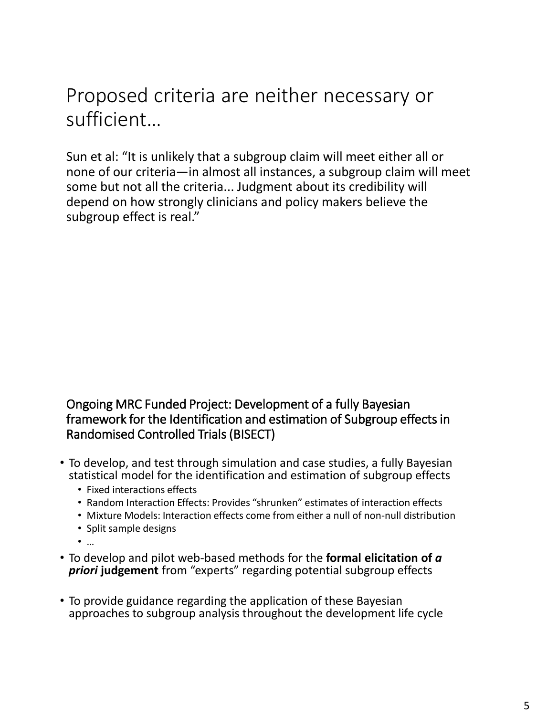Proposed criteria are neither necessary or sufficient…

Sun et al: "It is unlikely that a subgroup claim will meet either all or none of our criteria—in almost all instances, a subgroup claim will meet some but not all the criteria... Judgment about its credibility will depend on how strongly clinicians and policy makers believe the subgroup effect is real."

#### Ongoing MRC Funded Project: Development of a fully Bayesian framework for the Identification and estimation of Subgroup effects in Randomised Controlled Trials (BISECT)

- To develop, and test through simulation and case studies, a fully Bayesian statistical model for the identification and estimation of subgroup effects
	- Fixed interactions effects
	- Random Interaction Effects: Provides "shrunken" estimates of interaction effects
	- Mixture Models: Interaction effects come from either a null of non-null distribution
	- Split sample designs
	- …
- To develop and pilot web-based methods for the **formal elicitation of** *a*  **priori judgement** from "experts" regarding potential subgroup effects
- To provide guidance regarding the application of these Bayesian approaches to subgroup analysis throughout the development life cycle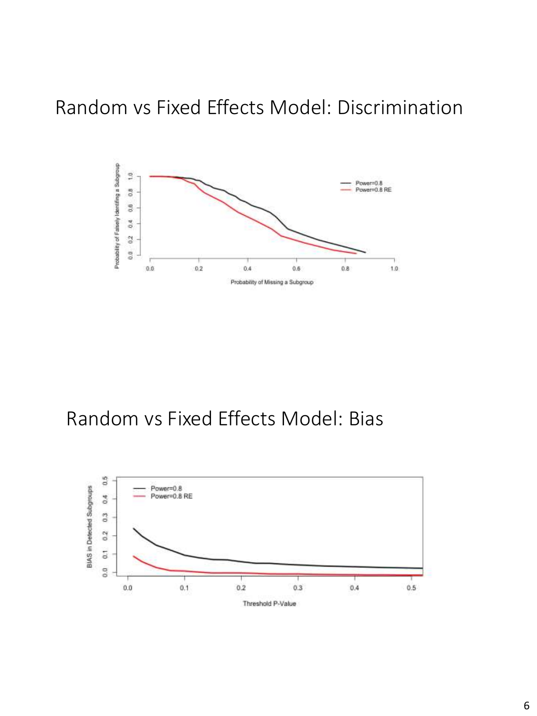### Random vs Fixed Effects Model: Discrimination



### Random vs Fixed Effects Model: Bias

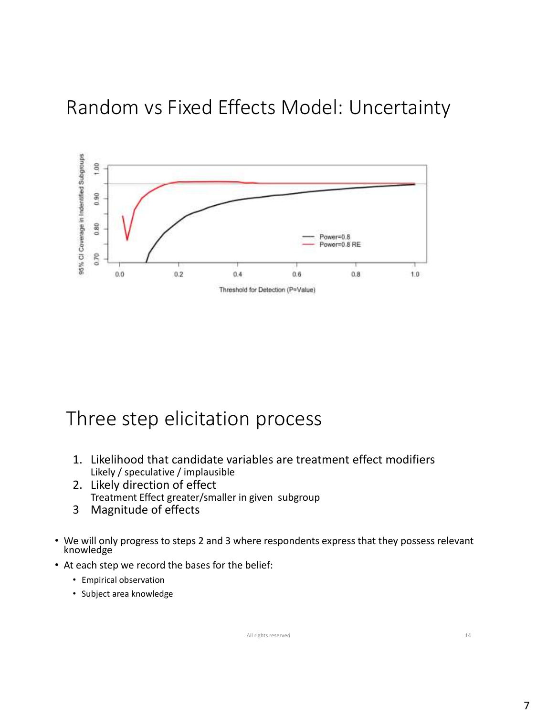### Random vs Fixed Effects Model: Uncertainty



### Three step elicitation process

- 1. Likelihood that candidate variables are treatment effect modifiers Likely / speculative / implausible
- 2. Likely direction of effect Treatment Effect greater/smaller in given subgroup
- 3 Magnitude of effects
- We will only progress to steps 2 and 3 where respondents express that they possess relevant knowledge
- At each step we record the bases for the belief:
	- Empirical observation
	- Subject area knowledge

All rights reserved 14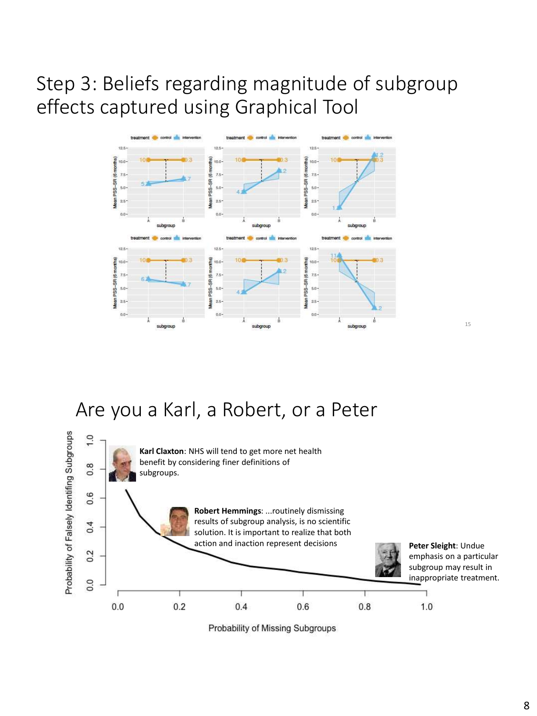### Step 3: Beliefs regarding magnitude of subgroup effects captured using Graphical Tool



### Are you a Karl, a Robert, or a Peter



8